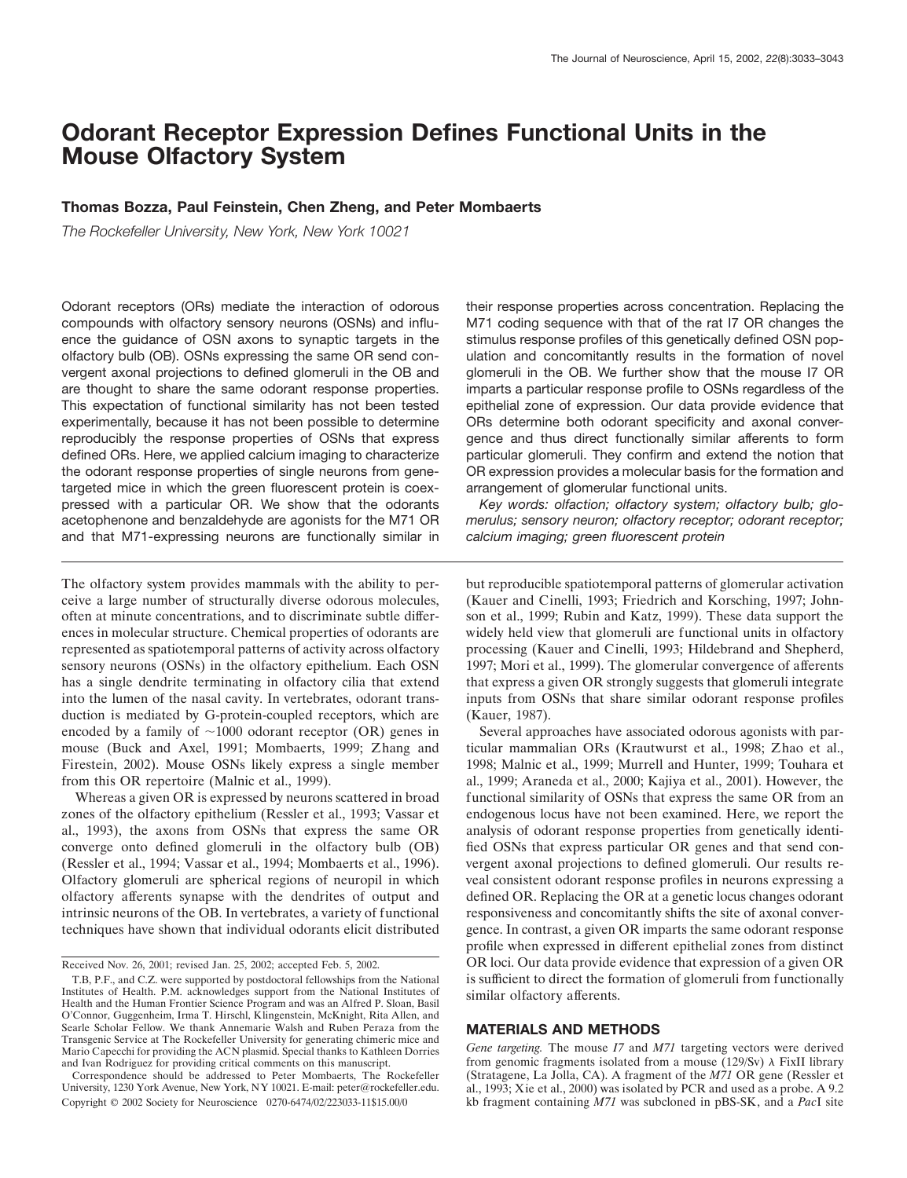# **Odorant Receptor Expression Defines Functional Units in the Mouse Olfactory System**

# **Thomas Bozza, Paul Feinstein, Chen Zheng, and Peter Mombaerts**

*The Rockefeller University, New York, New York 10021*

Odorant receptors (ORs) mediate the interaction of odorous compounds with olfactory sensory neurons (OSNs) and influence the guidance of OSN axons to synaptic targets in the olfactory bulb (OB). OSNs expressing the same OR send convergent axonal projections to defined glomeruli in the OB and are thought to share the same odorant response properties. This expectation of functional similarity has not been tested experimentally, because it has not been possible to determine reproducibly the response properties of OSNs that express defined ORs. Here, we applied calcium imaging to characterize the odorant response properties of single neurons from genetargeted mice in which the green fluorescent protein is coexpressed with a particular OR. We show that the odorants acetophenone and benzaldehyde are agonists for the M71 OR and that M71-expressing neurons are functionally similar in

The olfactory system provides mammals with the ability to perceive a large number of structurally diverse odorous molecules, often at minute concentrations, and to discriminate subtle differences in molecular structure. Chemical properties of odorants are represented as spatiotemporal patterns of activity across olfactory sensory neurons (OSNs) in the olfactory epithelium. Each OSN has a single dendrite terminating in olfactory cilia that extend into the lumen of the nasal cavity. In vertebrates, odorant transduction is mediated by G-protein-coupled receptors, which are encoded by a family of  $\sim$ 1000 odorant receptor (OR) genes in mouse (Buck and Axel, 1991; Mombaerts, 1999; Zhang and Firestein, 2002). Mouse OSNs likely express a single member from this OR repertoire (Malnic et al., 1999).

Whereas a given OR is expressed by neurons scattered in broad zones of the olfactory epithelium (Ressler et al., 1993; Vassar et al., 1993), the axons from OSNs that express the same OR converge onto defined glomeruli in the olfactory bulb (OB) (Ressler et al., 1994; Vassar et al., 1994; Mombaerts et al., 1996). Olfactory glomeruli are spherical regions of neuropil in which olfactory afferents synapse with the dendrites of output and intrinsic neurons of the OB. In vertebrates, a variety of functional techniques have shown that individual odorants elicit distributed their response properties across concentration. Replacing the M71 coding sequence with that of the rat I7 OR changes the stimulus response profiles of this genetically defined OSN population and concomitantly results in the formation of novel glomeruli in the OB. We further show that the mouse I7 OR imparts a particular response profile to OSNs regardless of the epithelial zone of expression. Our data provide evidence that ORs determine both odorant specificity and axonal convergence and thus direct functionally similar afferents to form particular glomeruli. They confirm and extend the notion that OR expression provides a molecular basis for the formation and arrangement of glomerular functional units.

*Key words: olfaction; olfactory system; olfactory bulb; glomerulus; sensory neuron; olfactory receptor; odorant receptor; calcium imaging; green fluorescent protein*

but reproducible spatiotemporal patterns of glomerular activation (Kauer and Cinelli, 1993; Friedrich and Korsching, 1997; Johnson et al., 1999; Rubin and Katz, 1999). These data support the widely held view that glomeruli are functional units in olfactory processing (Kauer and Cinelli, 1993; Hildebrand and Shepherd, 1997; Mori et al., 1999). The glomerular convergence of afferents that express a given OR strongly suggests that glomeruli integrate inputs from OSNs that share similar odorant response profiles (Kauer, 1987).

Several approaches have associated odorous agonists with particular mammalian ORs (Krautwurst et al., 1998; Zhao et al., 1998; Malnic et al., 1999; Murrell and Hunter, 1999; Touhara et al., 1999; Araneda et al., 2000; Kajiya et al., 2001). However, the functional similarity of OSNs that express the same OR from an endogenous locus have not been examined. Here, we report the analysis of odorant response properties from genetically identified OSNs that express particular OR genes and that send convergent axonal projections to defined glomeruli. Our results reveal consistent odorant response profiles in neurons expressing a defined OR. Replacing the OR at a genetic locus changes odorant responsiveness and concomitantly shifts the site of axonal convergence. In contrast, a given OR imparts the same odorant response profile when expressed in different epithelial zones from distinct OR loci. Our data provide evidence that expression of a given OR is sufficient to direct the formation of glomeruli from functionally similar olfactory afferents.

# **MATERIALS AND METHODS**

*Gene targeting.* The mouse *I7* and *M71* targeting vectors were derived from genomic fragments isolated from a mouse (129/Sv)  $\lambda$  FixII library (Stratagene, La Jolla, CA). A fragment of the *M71* OR gene (Ressler et al., 1993; Xie et al., 2000) was isolated by PCR and used as a probe. A 9.2 kb fragment containing *M71* was subcloned in pBS-SK, and a *Pac*I site

Received Nov. 26, 2001; revised Jan. 25, 2002; accepted Feb. 5, 2002.

T.B, P.F., and C.Z. were supported by postdoctoral fellowships from the National Institutes of Health. P.M. acknowledges support from the National Institutes of Health and the Human Frontier Science Program and was an Alfred P. Sloan, Basil O'Connor, Guggenheim, Irma T. Hirschl, Klingenstein, McKnight, Rita Allen, and Searle Scholar Fellow. We thank Annemarie Walsh and Ruben Peraza from the Transgenic Service at The Rockefeller University for generating chimeric mice and Mario Capecchi for providing the ACN plasmid. Special thanks to Kathleen Dorries and Ivan Rodriguez for providing critical comments on this manuscript.

Correspondence should be addressed to Peter Mombaerts, The Rockefeller University, 1230 York Avenue, New York, NY 10021. E-mail: peter@rockefeller.edu. Copyright © 2002 Society for Neuroscience 0270-6474/02/223033-11\$15.00/0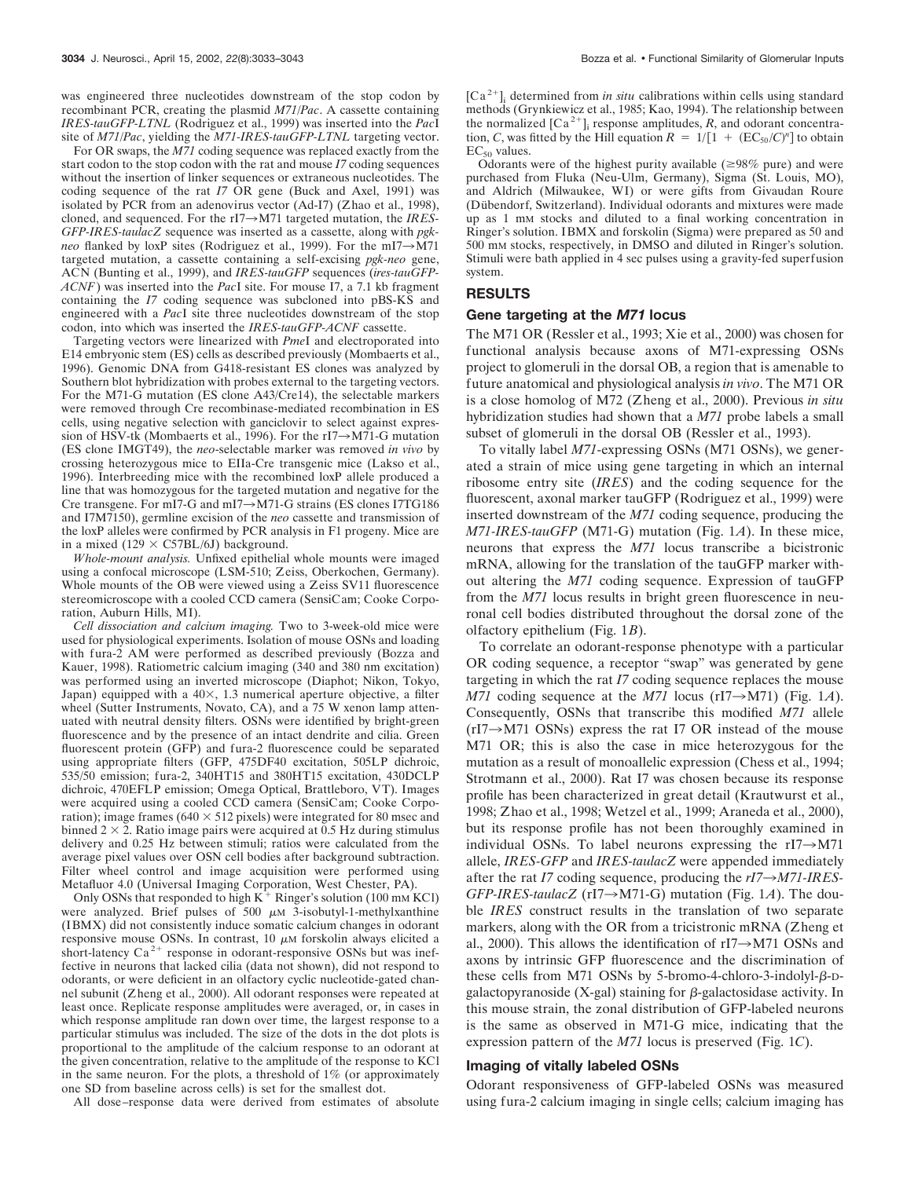was engineered three nucleotides downstream of the stop codon by recombinant PCR, creating the plasmid *M71/Pac*. A cassette containing *IRES-tauGFP-LTNL* (Rodriguez et al., 1999) was inserted into the *Pac*I site of *M71/Pac*, yielding the *M71-IRES-tauGFP-LTNL* targeting vector.

For OR swaps, the *M71* coding sequence was replaced exactly from the start codon to the stop codon with the rat and mouse *I7* coding sequences without the insertion of linker sequences or extraneous nucleotides. The coding sequence of the rat *I7* OR gene (Buck and Axel, 1991) was isolated by PCR from an adenovirus vector (Ad-I7) (Zhao et al., 1998), cloned, and sequenced. For the rI7 $\rightarrow$ M71 targeted mutation, the *IRES*-*GFP-IRES-taulacZ* sequence was inserted as a cassette, along with *pgkneo* flanked by loxP sites (Rodriguez et al., 1999). For the mI7 $\rightarrow$ M71 targeted mutation, a cassette containing a self-excising *pgk-neo* gene, ACN (Bunting et al., 1999), and *IRES-tauGFP* sequences (*ires-tauGFP-ACNF*) was inserted into the *Pac*I site. For mouse I7, a 7.1 kb fragment containing the *I7* coding sequence was subcloned into pBS-KS and engineered with a *Pac*I site three nucleotides downstream of the stop codon, into which was inserted the *IRES-tauGFP-ACNF* cassette.

Targeting vectors were linearized with *Pme*I and electroporated into E14 embryonic stem (ES) cells as described previously (Mombaerts et al., 1996). Genomic DNA from G418-resistant ES clones was analyzed by Southern blot hybridization with probes external to the targeting vectors. For the M71-G mutation (ES clone A43/Cre14), the selectable markers were removed through Cre recombinase-mediated recombination in ES cells, using negative selection with ganciclovir to select against expression of HSV-tk (Mombaerts et al., 1996). For the rI7 $\rightarrow$ M71-G mutation (ES clone IMGT49), the *neo*-selectable marker was removed *in vivo* by crossing heterozygous mice to EIIa-Cre transgenic mice (Lakso et al., 1996). Interbreeding mice with the recombined loxP allele produced a line that was homozygous for the targeted mutation and negative for the Cre transgene. For mI7-G and mI7 $\rightarrow$ M71-G strains (ES clones I7TG186 and I7M7150), germline excision of the *neo* cassette and transmission of the loxP alleles were confirmed by PCR analysis in F1 progeny. Mice are in a mixed  $(129 \times C57BL/6J)$  background.

*Whole-mount analysis.* Unfixed epithelial whole mounts were imaged using a confocal microscope (LSM-510; Zeiss, Oberkochen, Germany). Whole mounts of the OB were viewed using a Zeiss SV11 fluorescence stereomicroscope with a cooled CCD camera (SensiCam; Cooke Corporation, Auburn Hills, MI).

*Cell dissociation and calcium imaging.* Two to 3-week-old mice were used for physiological experiments. Isolation of mouse OSNs and loading with fura-2 AM were performed as described previously (Bozza and Kauer, 1998). Ratiometric calcium imaging (340 and 380 nm excitation) was performed using an inverted microscope (Diaphot; Nikon, Tokyo, Japan) equipped with a  $40\times$ , 1.3 numerical aperture objective, a filter wheel (Sutter Instruments, Novato, CA), and a 75 W xenon lamp attenuated with neutral density filters. OSNs were identified by bright-green fluorescence and by the presence of an intact dendrite and cilia. Green fluorescent protein (GFP) and fura-2 fluorescence could be separated using appropriate filters (GFP, 475DF40 excitation, 505LP dichroic, 535/50 emission; fura-2, 340HT15 and 380HT15 excitation, 430DCLP dichroic, 470EFLP emission; Omega Optical, Brattleboro, VT). Images were acquired using a cooled CCD camera (SensiCam; Cooke Corporation); image frames ( $640 \times 512$  pixels) were integrated for 80 msec and binned  $2 \times 2$ . Ratio image pairs were acquired at 0.5 Hz during stimulus delivery and 0.25 Hz between stimuli; ratios were calculated from the average pixel values over OSN cell bodies after background subtraction. Filter wheel control and image acquisition were performed using Metafluor 4.0 (Universal Imaging Corporation, West Chester, PA).

Only OSNs that responded to high  $K^+$  Ringer's solution (100 mm KCl) were analyzed. Brief pulses of  $500 \mu M$  3-isobutyl-1-methylxanthine (IBMX) did not consistently induce somatic calcium changes in odorant responsive mouse OSNs. In contrast,  $10 \mu$ M forskolin always elicited a short-latency  $Ca^{2+}$  response in odorant-responsive OSNs but was ineffective in neurons that lacked cilia (data not shown), did not respond to odorants, or were deficient in an olfactory cyclic nucleotide-gated channel subunit (Zheng et al., 2000). All odorant responses were repeated at least once. Replicate response amplitudes were averaged, or, in cases in which response amplitude ran down over time, the largest response to a particular stimulus was included. The size of the dots in the dot plots is proportional to the amplitude of the calcium response to an odorant at the given concentration, relative to the amplitude of the response to KCl in the same neuron. For the plots, a threshold of  $1\%$  (or approximately one SD from baseline across cells) is set for the smallest dot.

All dose–response data were derived from estimates of absolute

 $[Ca^{2+}]$ <sub>i</sub> determined from *in situ* calibrations within cells using standard methods (Grynkiewicz et al., 1985; Kao, 1994). The relationship between the normalized  $[Ca^{2+}]$ <sub>i</sub> response amplitudes, *R*, and odorant concentration, *C*, was fitted by the Hill equation  $R = 1/[1 + (EC_{50}/C)^n]$  to obtain  $EC_{50}$  values.

Odorants were of the highest purity available ( $\geq$ 98% pure) and were purchased from Fluka (Neu-Ulm, Germany), Sigma (St. Louis, MO), and Aldrich (Milwaukee, WI) or were gifts from Givaudan Roure (Dübendorf, Switzerland). Individual odorants and mixtures were made up as 1 mM stocks and diluted to a final working concentration in Ringer's solution. IBMX and forskolin (Sigma) were prepared as 50 and 500 mM stocks, respectively, in DMSO and diluted in Ringer's solution. Stimuli were bath applied in 4 sec pulses using a gravity-fed superfusion system.

# **RESULTS**

## **Gene targeting at the** *M71* **locus**

The M71 OR (Ressler et al., 1993; Xie et al., 2000) was chosen for functional analysis because axons of M71-expressing OSNs project to glomeruli in the dorsal OB, a region that is amenable to future anatomical and physiological analysis *in vivo*. The M71 OR is a close homolog of M72 (Zheng et al., 2000). Previous *in situ* hybridization studies had shown that a *M71* probe labels a small subset of glomeruli in the dorsal OB (Ressler et al., 1993).

To vitally label *M71*-expressing OSNs (M71 OSNs), we generated a strain of mice using gene targeting in which an internal ribosome entry site (*IRES*) and the coding sequence for the fluorescent, axonal marker tauGFP (Rodriguez et al., 1999) were inserted downstream of the *M71* coding sequence, producing the *M71-IRES-tauGFP* (M71-G) mutation (Fig. 1*A*). In these mice, neurons that express the *M71* locus transcribe a bicistronic mRNA, allowing for the translation of the tauGFP marker without altering the *M71* coding sequence. Expression of tauGFP from the *M71* locus results in bright green fluorescence in neuronal cell bodies distributed throughout the dorsal zone of the olfactory epithelium (Fig. 1*B*).

To correlate an odorant-response phenotype with a particular OR coding sequence, a receptor "swap" was generated by gene targeting in which the rat *I7* coding sequence replaces the mouse *M71* coding sequence at the *M71* locus ( $rI7 \rightarrow M71$ ) (Fig. 1*A*). Consequently, OSNs that transcribe this modified *M71* allele  $(rI7 \rightarrow M71 \text{ OSNs})$  express the rat I7 OR instead of the mouse M71 OR; this is also the case in mice heterozygous for the mutation as a result of monoallelic expression (Chess et al., 1994; Strotmann et al., 2000). Rat I7 was chosen because its response profile has been characterized in great detail (Krautwurst et al., 1998; Zhao et al., 1998; Wetzel et al., 1999; Araneda et al., 2000), but its response profile has not been thoroughly examined in individual OSNs. To label neurons expressing the  $rI7 \rightarrow M71$ allele, *IRES-GFP* and *IRES-taulacZ* were appended immediately after the rat *I7* coding sequence, producing the  $rI7 \rightarrow M71$ -IRES- $GFP\text{-}IRES\text{-}taulacZ (rI7 \rightarrow M71-G)$  mutation (Fig. 1*A*). The double *IRES* construct results in the translation of two separate markers, along with the OR from a tricistronic mRNA (Zheng et al., 2000). This allows the identification of  $rI7 \rightarrow M71$  OSNs and axons by intrinsic GFP fluorescence and the discrimination of these cells from M71 OSNs by 5-bromo-4-chloro-3-indolyl- $\beta$ -Dgalactopyranoside  $(X$ -gal $)$  staining for  $\beta$ -galactosidase activity. In this mouse strain, the zonal distribution of GFP-labeled neurons is the same as observed in M71-G mice, indicating that the expression pattern of the *M71* locus is preserved (Fig. 1*C*).

#### **Imaging of vitally labeled OSNs**

Odorant responsiveness of GFP-labeled OSNs was measured using fura-2 calcium imaging in single cells; calcium imaging has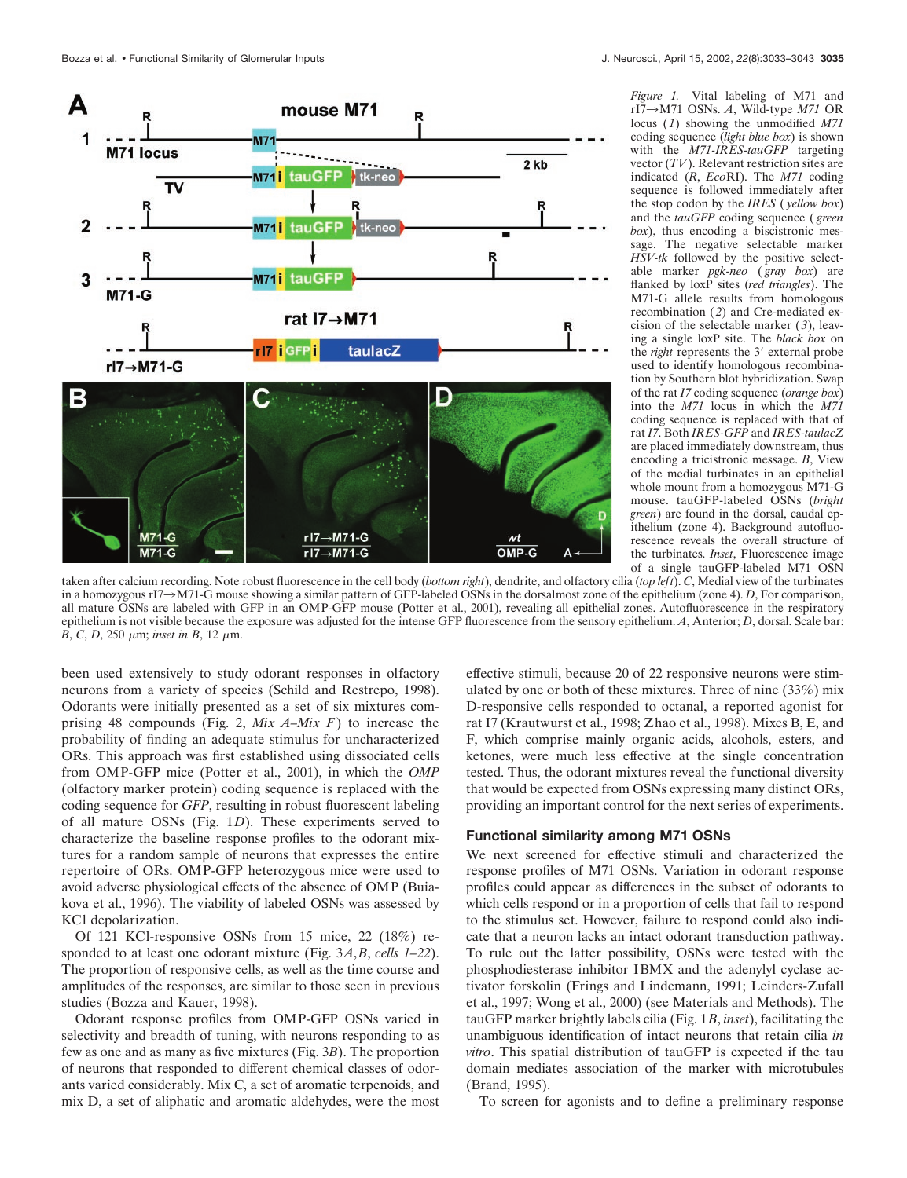

*Figure 1.* Vital labeling of M71 and  $rI7 \rightarrow M71$  OSNs. *A*, Wild-type *M71* OR locus (*1*) showing the unmodified *M71* coding sequence (*light blue box*) is shown with the *M71-IRES-tauGFP* targeting vector (*TV*). Relevant restriction sites are indicated (*R*, *Eco*RI). The *M71* coding sequence is followed immediately after the stop codon by the *IRES* ( *yellow box*) and the *tauGFP* coding sequence ( *green box*), thus encoding a biscistronic message. The negative selectable marker *HSV-tk* followed by the positive selectable marker *pgk-neo* ( *gray box*) are flanked by loxP sites (*red triangles*). The M71-G allele results from homologous recombination (*2*) and Cre-mediated excision of the selectable marker (*3*), leaving a single loxP site. The *black box* on the *right* represents the 3' external probe used to identify homologous recombination by Southern blot hybridization. Swap of the rat *I7* coding sequence (*orange box*) into the *M71* locus in which the *M71* coding sequence is replaced with that of rat *I7*. Both *IRES-GFP* and *IRES-taulacZ* are placed immediately downstream, thus encoding a tricistronic message. *B*, View of the medial turbinates in an epithelial whole mount from a homozygous M71-G mouse. tauGFP-labeled OSNs (*bright green*) are found in the dorsal, caudal epithelium (zone 4). Background autofluorescence reveals the overall structure of the turbinates. *Inset*, Fluorescence image of a single tauGFP-labeled M71 OSN

taken after calcium recording. Note robust fluorescence in the cell body (*bottom right*), dendrite, and olfactory cilia (*top left*). *C*, Medial view of the turbinates in a homozygous rI7 $\rightarrow$ M71-G mouse showing a similar pattern of GFP-labeled OSNs in the dorsalmost zone of the epithelium (zone 4). *D*, For comparison, all mature OSNs are labeled with GFP in an OMP-GFP mouse (Potter et al., 2001), revealing all epithelial zones. Autofluorescence in the respiratory epithelium is not visible because the exposure was adjusted for the intense GFP fluorescence from the sensory epithelium. *A*, Anterior; *D*, dorsal. Scale bar:  $B, C, D, 250 \mu m$ ; *inset in B*, 12  $\mu$ m.

been used extensively to study odorant responses in olfactory neurons from a variety of species (Schild and Restrepo, 1998). Odorants were initially presented as a set of six mixtures comprising 48 compounds (Fig. 2, *Mix A–Mix F*) to increase the probability of finding an adequate stimulus for uncharacterized ORs. This approach was first established using dissociated cells from OMP-GFP mice (Potter et al., 2001), in which the *OMP* (olfactory marker protein) coding sequence is replaced with the coding sequence for *GFP*, resulting in robust fluorescent labeling of all mature OSNs (Fig. 1*D*). These experiments served to characterize the baseline response profiles to the odorant mixtures for a random sample of neurons that expresses the entire repertoire of ORs. OMP-GFP heterozygous mice were used to avoid adverse physiological effects of the absence of OMP (Buiakova et al., 1996). The viability of labeled OSNs was assessed by KCl depolarization.

Of 121 KCl-responsive OSNs from 15 mice, 22 (18%) responded to at least one odorant mixture (Fig. 3*A*,*B*, *cells 1–22*). The proportion of responsive cells, as well as the time course and amplitudes of the responses, are similar to those seen in previous studies (Bozza and Kauer, 1998).

Odorant response profiles from OMP-GFP OSNs varied in selectivity and breadth of tuning, with neurons responding to as few as one and as many as five mixtures (Fig. 3*B*). The proportion of neurons that responded to different chemical classes of odorants varied considerably. Mix C, a set of aromatic terpenoids, and mix D, a set of aliphatic and aromatic aldehydes, were the most

effective stimuli, because 20 of 22 responsive neurons were stimulated by one or both of these mixtures. Three of nine (33%) mix D-responsive cells responded to octanal, a reported agonist for rat I7 (Krautwurst et al., 1998; Zhao et al., 1998). Mixes B, E, and F, which comprise mainly organic acids, alcohols, esters, and ketones, were much less effective at the single concentration tested. Thus, the odorant mixtures reveal the functional diversity that would be expected from OSNs expressing many distinct ORs, providing an important control for the next series of experiments.

## **Functional similarity among M71 OSNs**

We next screened for effective stimuli and characterized the response profiles of M71 OSNs. Variation in odorant response profiles could appear as differences in the subset of odorants to which cells respond or in a proportion of cells that fail to respond to the stimulus set. However, failure to respond could also indicate that a neuron lacks an intact odorant transduction pathway. To rule out the latter possibility, OSNs were tested with the phosphodiesterase inhibitor IBMX and the adenylyl cyclase activator forskolin (Frings and Lindemann, 1991; Leinders-Zufall et al., 1997; Wong et al., 2000) (see Materials and Methods). The tauGFP marker brightly labels cilia (Fig. 1*B*, *inset*), facilitating the unambiguous identification of intact neurons that retain cilia *in vitro*. This spatial distribution of tauGFP is expected if the tau domain mediates association of the marker with microtubules (Brand, 1995).

To screen for agonists and to define a preliminary response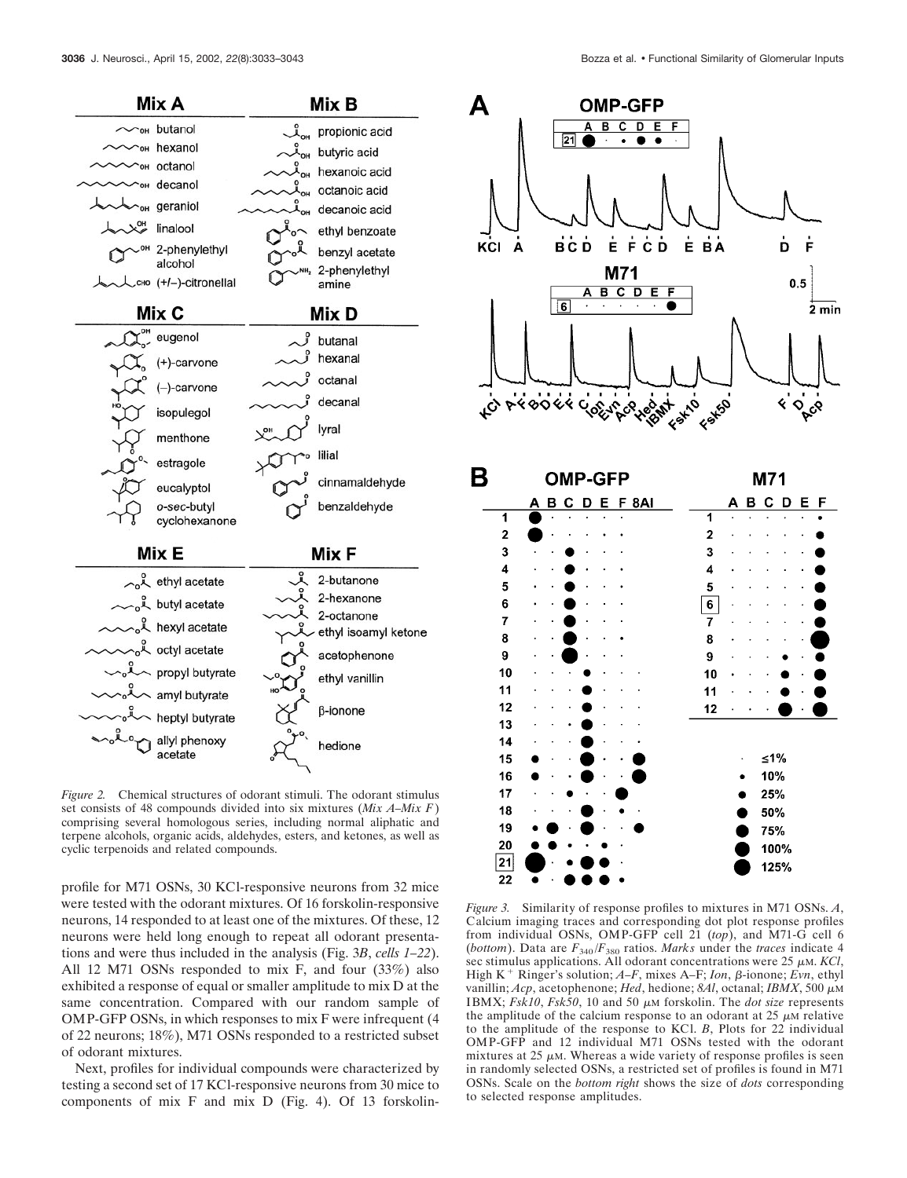

*Figure 2.* Chemical structures of odorant stimuli. The odorant stimulus set consists of 48 compounds divided into six mixtures (*Mix A–Mix F*) comprising several homologous series, including normal aliphatic and terpene alcohols, organic acids, aldehydes, esters, and ketones, as well as cyclic terpenoids and related compounds.

profile for M71 OSNs, 30 KCl-responsive neurons from 32 mice were tested with the odorant mixtures. Of 16 forskolin-responsive neurons, 14 responded to at least one of the mixtures. Of these, 12 neurons were held long enough to repeat all odorant presentations and were thus included in the analysis (Fig. 3*B*, *cells 1–22*). All 12 M71 OSNs responded to mix F, and four (33%) also exhibited a response of equal or smaller amplitude to mix D at the same concentration. Compared with our random sample of OMP-GFP OSNs, in which responses to mix F were infrequent (4 of 22 neurons; 18%), M71 OSNs responded to a restricted subset of odorant mixtures.

Next, profiles for individual compounds were characterized by testing a second set of 17 KCl-responsive neurons from 30 mice to components of mix F and mix D (Fig. 4). Of 13 forskolin-



*Figure 3.* Similarity of response profiles to mixtures in M71 OSNs. *A*, Calcium imaging traces and corresponding dot plot response profiles from individual OSNs, OMP-GFP cell 21 (*top*), and M71-G cell 6 (*bottom*). Data are  $F_{340}/F_{380}$  ratios. *Marks* under the *traces* indicate 4 sec stimulus applications. All odorant concentrations were  $25 \mu M$ . *KCl*, High K<sup>+</sup> Ringer's solution;  $A$ -F, mixes A-F; *Ion*,  $\beta$ -ionone; *Evn*, ethyl vanillin; Acp, acetophenone; Hed, hedione; 8Al, octanal; IBMX, 500 μ.Μ IBMX;  $Fsk10$ ,  $Fsk50$ , 10 and 50  $\mu$ m forskolin. The *dot size* represents the amplitude of the calcium response to an odorant at  $25 \mu$ M relative to the amplitude of the response to KCl. *B*, Plots for 22 individual OMP-GFP and 12 individual M71 OSNs tested with the odorant mixtures at  $25 \mu$ M. Whereas a wide variety of response profiles is seen in randomly selected OSNs, a restricted set of profiles is found in M71 OSNs. Scale on the *bottom right* shows the size of *dots* corresponding to selected response amplitudes.

75%

100%

125%

19

20

21

22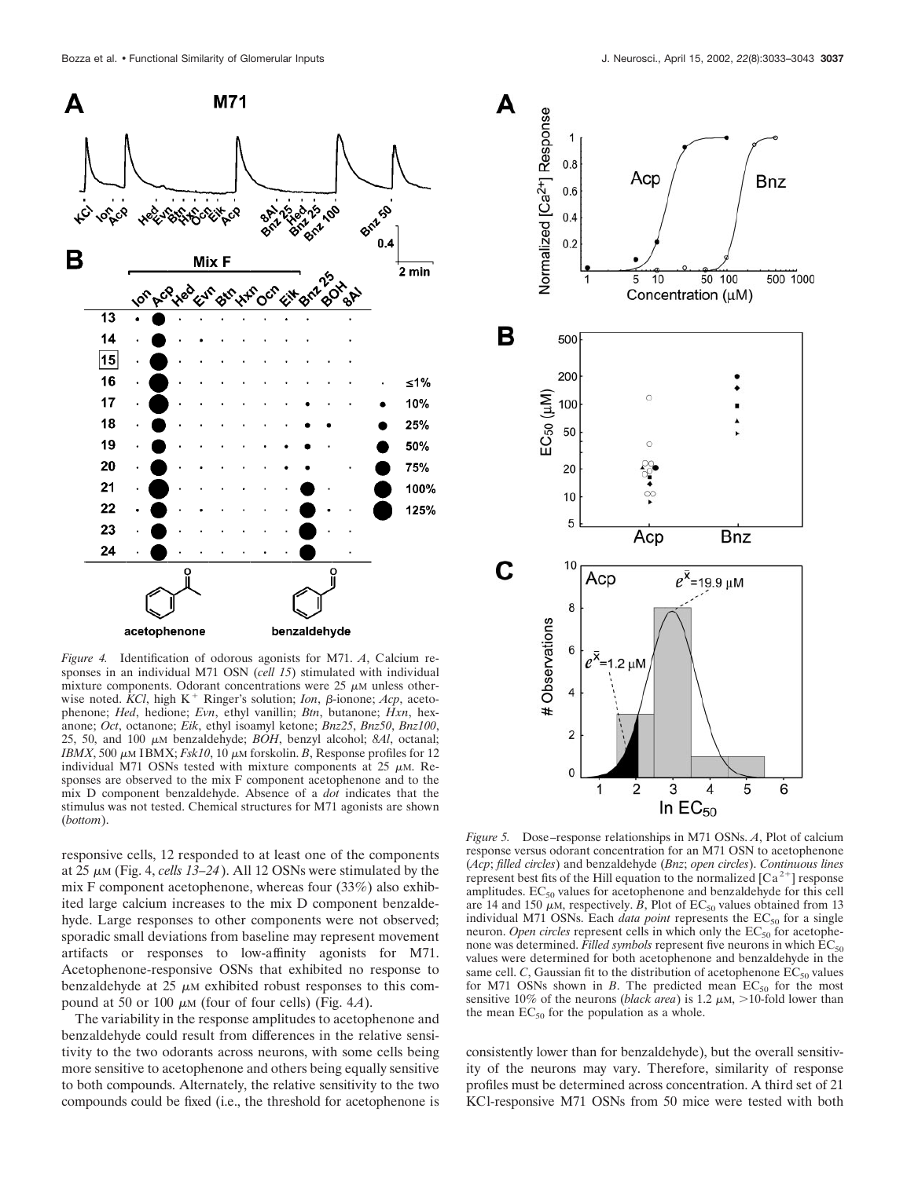

*Figure 4.* Identification of odorous agonists for M71. *A*, Calcium responses in an individual M71 OSN (*cell 15*) stimulated with individual mixture components. Odorant concentrations were  $25 \mu$ M unless otherwise noted. *KCl*, high  $K^+$  Ringer's solution; *Ion*,  $\beta$ -ionone; *Acp*, acetophenone; *Hed*, hedione; *Evn*, ethyl vanillin; *Btn*, butanone; *Hxn*, hexanone; *Oct*, octanone; *Eik*, ethyl isoamyl ketone; *Bnz25*, *Bnz50*, *Bnz100*, 25, 50, and 100 μ*M* benzaldehyde; *BOH*, benzyl alcohol; *8Al*, octanal;  $IBMX$ , 500  $\mu$ M IBMX;  $Fsk10$ , 10  $\mu$ M forskolin. *B*, Response profiles for 12 individual M71 OSNs tested with mixture components at  $25 \mu M$ . Responses are observed to the mix F component acetophenone and to the mix D component benzaldehyde. Absence of a *dot* indicates that the stimulus was not tested. Chemical structures for M71 agonists are shown (*bottom*).

responsive cells, 12 responded to at least one of the components at  $25 \mu M$  (Fig. 4, *cells 13–24*). All 12 OSNs were stimulated by the mix F component acetophenone, whereas four (33%) also exhibited large calcium increases to the mix D component benzaldehyde. Large responses to other components were not observed; sporadic small deviations from baseline may represent movement artifacts or responses to low-affinity agonists for M71. Acetophenone-responsive OSNs that exhibited no response to benzaldehyde at  $25 \mu m$  exhibited robust responses to this compound at 50 or 100  $\mu$ <sub>M</sub> (four of four cells) (Fig. 4*A*).

The variability in the response amplitudes to acetophenone and benzaldehyde could result from differences in the relative sensitivity to the two odorants across neurons, with some cells being more sensitive to acetophenone and others being equally sensitive to both compounds. Alternately, the relative sensitivity to the two compounds could be fixed (i.e., the threshold for acetophenone is



*Figure 5.* Dose–response relationships in M71 OSNs. *A*, Plot of calcium response versus odorant concentration for an M71 OSN to acetophenone (*Acp*; *filled circles*) and benzaldehyde (*Bnz*; *open circles*). *Continuous lines* represent best fits of the Hill equation to the normalized  $[Ca^{2+}]$  response amplitudes.  $EC_{50}$  values for acetophenone and benzaldehyde for this cell are 14 and 150  $\mu$ M, respectively. *B*, Plot of  $EC_{50}$  values obtained from 13 individual M71 OSNs. Each *data point* represents the  $EC_{50}$  for a single neuron. *Open circles* represent cells in which only the  $EC_{50}$  for acetophenone was determined. Filled symbols represent five neurons in which  $EC_{50}$ values were determined for both acetophenone and benzaldehyde in the same cell.  $C$ , Gaussian fit to the distribution of acetophenone  $EC_{50}$  values for M71 OSNs shown in  $B$ . The predicted mean  $EC_{50}$  for the most sensitive 10% of the neurons *(black area)* is 1.2  $\mu$ m, >10-fold lower than the mean  $EC_{50}$  for the population as a whole.

consistently lower than for benzaldehyde), but the overall sensitivity of the neurons may vary. Therefore, similarity of response profiles must be determined across concentration. A third set of 21 KCl-responsive M71 OSNs from 50 mice were tested with both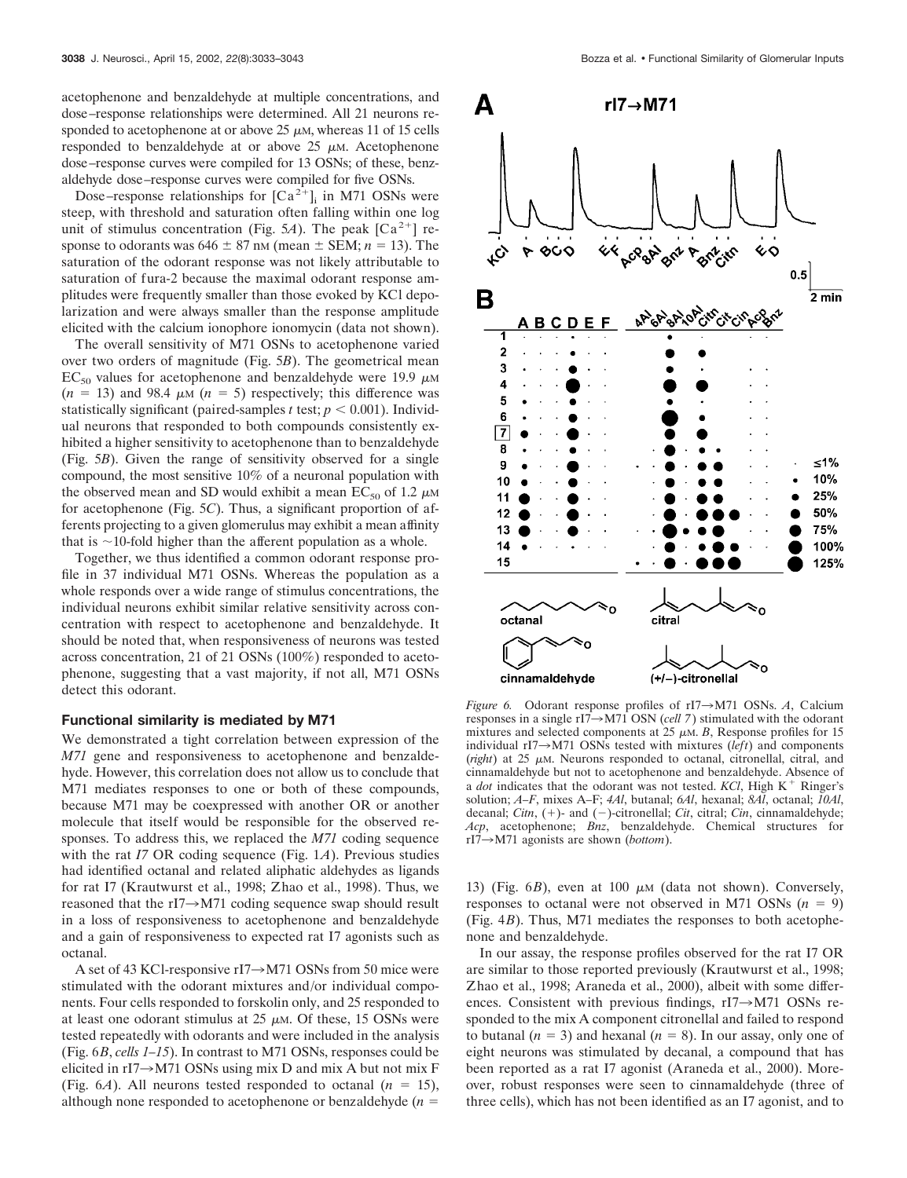acetophenone and benzaldehyde at multiple concentrations, and dose–response relationships were determined. All 21 neurons responded to acetophenone at or above  $25 \mu$ M, whereas 11 of 15 cells responded to benzaldehyde at or above  $25 \mu$ M. Acetophenone dose–response curves were compiled for 13 OSNs; of these, benzaldehyde dose–response curves were compiled for five OSNs.

Dose–response relationships for  $[Ca^{2+}]$ <sub>i</sub> in M71 OSNs were steep, with threshold and saturation often falling within one log unit of stimulus concentration (Fig. 5*A*). The peak  $[Ca^{2+}]$  response to odorants was  $646 \pm 87$  nm (mean  $\pm$  SEM;  $n = 13$ ). The saturation of the odorant response was not likely attributable to saturation of fura-2 because the maximal odorant response amplitudes were frequently smaller than those evoked by KCl depolarization and were always smaller than the response amplitude elicited with the calcium ionophore ionomycin (data not shown).

The overall sensitivity of M71 OSNs to acetophenone varied over two orders of magnitude (Fig. 5*B*). The geometrical mean  $EC_{50}$  values for acetophenone and benzaldehyde were 19.9  $\mu$ M  $(n = 13)$  and 98.4  $\mu$ <sub>M</sub>  $(n = 5)$  respectively; this difference was statistically significant (paired-samples *t* test;  $p < 0.001$ ). Individual neurons that responded to both compounds consistently exhibited a higher sensitivity to acetophenone than to benzaldehyde (Fig. 5*B*). Given the range of sensitivity observed for a single compound, the most sensitive 10% of a neuronal population with the observed mean and SD would exhibit a mean  $EC_{50}$  of 1.2  $\mu$ M for acetophenone (Fig. 5*C*). Thus, a significant proportion of afferents projecting to a given glomerulus may exhibit a mean affinity that is  $\sim$ 10-fold higher than the afferent population as a whole.

Together, we thus identified a common odorant response profile in 37 individual M71 OSNs. Whereas the population as a whole responds over a wide range of stimulus concentrations, the individual neurons exhibit similar relative sensitivity across concentration with respect to acetophenone and benzaldehyde. It should be noted that, when responsiveness of neurons was tested across concentration, 21 of 21 OSNs (100%) responded to acetophenone, suggesting that a vast majority, if not all, M71 OSNs detect this odorant.

## **Functional similarity is mediated by M71**

We demonstrated a tight correlation between expression of the *M71* gene and responsiveness to acetophenone and benzaldehyde. However, this correlation does not allow us to conclude that M71 mediates responses to one or both of these compounds, because M71 may be coexpressed with another OR or another molecule that itself would be responsible for the observed responses. To address this, we replaced the *M71* coding sequence with the rat *I7* OR coding sequence (Fig. 1*A*). Previous studies had identified octanal and related aliphatic aldehydes as ligands for rat I7 (Krautwurst et al., 1998; Zhao et al., 1998). Thus, we reasoned that the  $rI7 \rightarrow M71$  coding sequence swap should result in a loss of responsiveness to acetophenone and benzaldehyde and a gain of responsiveness to expected rat I7 agonists such as octanal.

A set of 43 KCl-responsive  $rI7 \rightarrow M71$  OSNs from 50 mice were stimulated with the odorant mixtures and/or individual components. Four cells responded to forskolin only, and 25 responded to at least one odorant stimulus at  $25 \mu$ m. Of these, 15 OSNs were tested repeatedly with odorants and were included in the analysis (Fig. 6*B*, *cells 1–15*). In contrast to M71 OSNs, responses could be elicited in  $rI7 \rightarrow M71$  OSNs using mix D and mix A but not mix F (Fig. 6*A*). All neurons tested responded to octanal  $(n = 15)$ , although none responded to acetophenone or benzaldehyde (*n*



*Figure 6.* Odorant response profiles of  $rI7 \rightarrow M71$  OSNs. *A*, Calcium responses in a single rI $\overline{7} \rightarrow M71$  OSN (*cell 7*) stimulated with the odorant mixtures and selected components at  $25 \mu M$ . *B*, Response profiles for 15 individual rI7 $\rightarrow$ M71 OSNs tested with mixtures (*left*) and components  $(right)$  at 25  $\mu$ M. Neurons responded to octanal, citronellal, citral, and cinnamaldehyde but not to acetophenone and benzaldehyde. Absence of a *dot* indicates that the odorant was not tested.  $KCl$ , High  $K^+$  Ringer's solution; *A–F*, mixes A–F; *4Al*, butanal; *6Al*, hexanal; *8Al*, octanal; *10Al*, decanal; *Citn*,  $(+)$ - and  $(-)$ -citronellal; *Cit*, citral; *Cin*, cinnamaldehyde; *Acp*, acetophenone; *Bnz*, benzaldehyde. Chemical structures for rI73M71 agonists are shown (*bottom*).

13) (Fig.  $6B$ ), even at 100  $\mu$ M (data not shown). Conversely, responses to octanal were not observed in M71 OSNs  $(n = 9)$ (Fig. 4*B*). Thus, M71 mediates the responses to both acetophenone and benzaldehyde.

In our assay, the response profiles observed for the rat I7 OR are similar to those reported previously (Krautwurst et al., 1998; Zhao et al., 1998; Araneda et al., 2000), albeit with some differences. Consistent with previous findings,  $rI7 \rightarrow M71$  OSNs responded to the mix A component citronellal and failed to respond to butanal  $(n = 3)$  and hexanal  $(n = 8)$ . In our assay, only one of eight neurons was stimulated by decanal, a compound that has been reported as a rat I7 agonist (Araneda et al., 2000). Moreover, robust responses were seen to cinnamaldehyde (three of three cells), which has not been identified as an I7 agonist, and to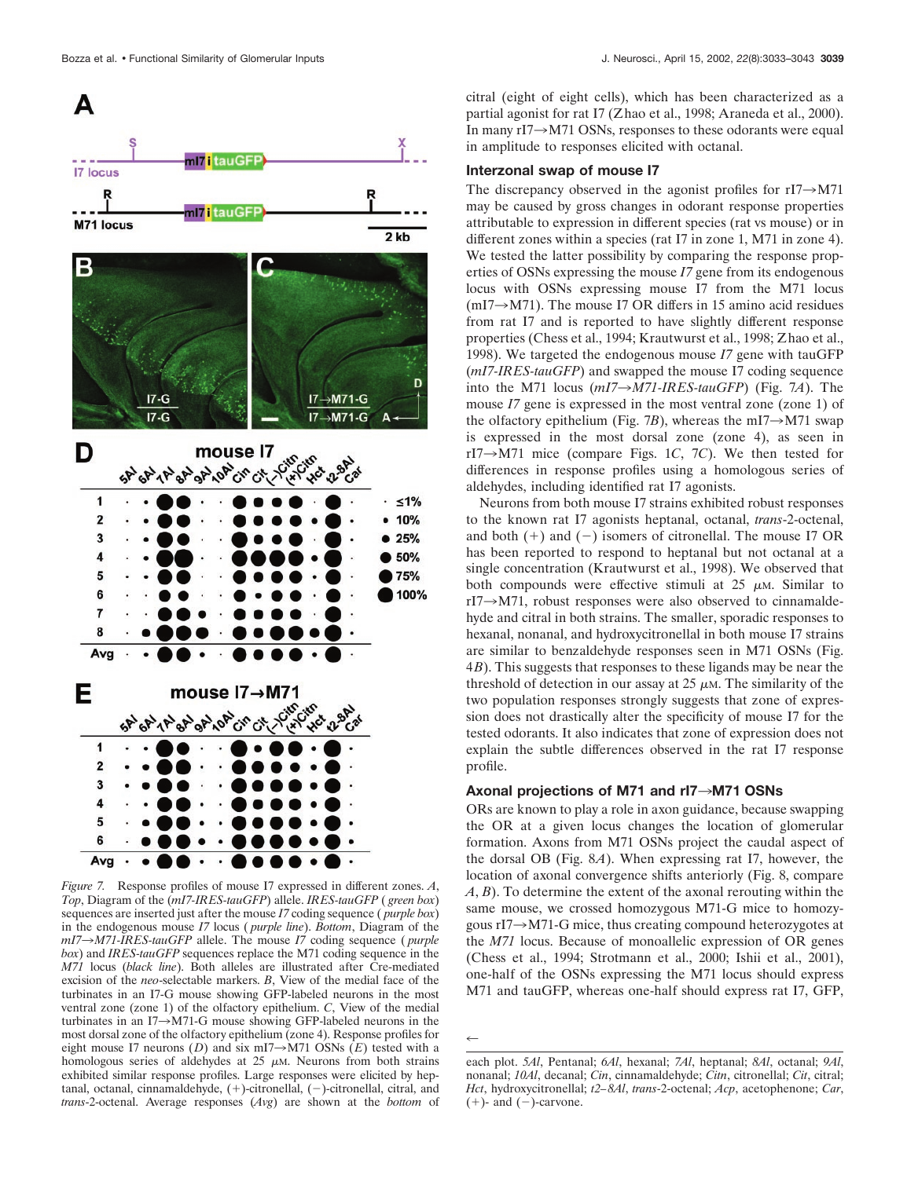

*Figure 7.* Response profiles of mouse I7 expressed in different zones. *A*, *Top*, Diagram of the (*mI7-IRES-tauGFP*) allele. *IRES-tauGFP* ( *green box*) sequences are inserted just after the mouse *I7* coding sequence ( *purple box*) in the endogenous mouse *I7* locus ( *purple line*). *Bottom*, Diagram of the *mI7→M71-IRES-tauGFP* allele. The mouse *I7* coding sequence (*purple box*) and *IRES-tauGFP* sequences replace the M71 coding sequence in the *M71* locus (*black line*). Both alleles are illustrated after Cre-mediated excision of the *neo*-selectable markers. *B*, View of the medial face of the turbinates in an I7-G mouse showing GFP-labeled neurons in the most ventral zone (zone 1) of the olfactory epithelium. *C*, View of the medial turbinates in an I7 $\rightarrow$ M71-G mouse showing GFP-labeled neurons in the most dorsal zone of the olfactory epithelium (zone 4). Response profiles for eight mouse I7 neurons (*D*) and six mI7 $\rightarrow$ M71 OSNs (*E*) tested with a homologous series of aldehydes at  $25 \mu M$ . Neurons from both strains exhibited similar response profiles. Large responses were elicited by heptanal, octanal, cinnamaldehyde,  $(+)$ -citronellal,  $(-)$ -citronellal, citral, and *trans*-2-octenal. Average responses (*Avg*) are shown at the *bottom* of

citral (eight of eight cells), which has been characterized as a partial agonist for rat I7 (Zhao et al., 1998; Araneda et al., 2000). In many  $rI7 \rightarrow M71$  OSNs, responses to these odorants were equal in amplitude to responses elicited with octanal.

# **Interzonal swap of mouse I7**

The discrepancy observed in the agonist profiles for  $rI7 \rightarrow M71$ may be caused by gross changes in odorant response properties attributable to expression in different species (rat vs mouse) or in different zones within a species (rat I7 in zone 1, M71 in zone 4). We tested the latter possibility by comparing the response properties of OSNs expressing the mouse *I7* gene from its endogenous locus with OSNs expressing mouse I7 from the M71 locus  $(mI7 \rightarrow M71)$ . The mouse I7 OR differs in 15 amino acid residues from rat I7 and is reported to have slightly different response properties (Chess et al., 1994; Krautwurst et al., 1998; Zhao et al., 1998). We targeted the endogenous mouse *I7* gene with tauGFP (*mI7-IRES-tauGFP*) and swapped the mouse I7 coding sequence into the M71 locus (*mI7→M71-IRES-tauGFP*) (Fig. 7*A*). The mouse *I7* gene is expressed in the most ventral zone (zone 1) of the olfactory epithelium (Fig. 7*B*), whereas the mI7 $\rightarrow$ M71 swap is expressed in the most dorsal zone (zone 4), as seen in  $rI7 \rightarrow M71$  mice (compare Figs. 1*C*, 7*C*). We then tested for differences in response profiles using a homologous series of aldehydes, including identified rat I7 agonists.

Neurons from both mouse I7 strains exhibited robust responses to the known rat I7 agonists heptanal, octanal, *trans*-2-octenal, and both  $(+)$  and  $(-)$  isomers of citronellal. The mouse I7 OR has been reported to respond to heptanal but not octanal at a single concentration (Krautwurst et al., 1998). We observed that both compounds were effective stimuli at  $25 \mu M$ . Similar to  $rI7 \rightarrow M71$ , robust responses were also observed to cinnamaldehyde and citral in both strains. The smaller, sporadic responses to hexanal, nonanal, and hydroxycitronellal in both mouse I7 strains are similar to benzaldehyde responses seen in M71 OSNs (Fig. 4*B*). This suggests that responses to these ligands may be near the threshold of detection in our assay at  $25 \mu$ M. The similarity of the two population responses strongly suggests that zone of expression does not drastically alter the specificity of mouse I7 for the tested odorants. It also indicates that zone of expression does not explain the subtle differences observed in the rat I7 response profile.

## **Axonal projections of M71 and rI7**3**M71 OSNs**

ORs are known to play a role in axon guidance, because swapping the OR at a given locus changes the location of glomerular formation. Axons from M71 OSNs project the caudal aspect of the dorsal OB (Fig. 8*A*). When expressing rat I7, however, the location of axonal convergence shifts anteriorly (Fig. 8, compare *A*, *B*). To determine the extent of the axonal rerouting within the same mouse, we crossed homozygous M71-G mice to homozygous  $rI7 \rightarrow M71$ -G mice, thus creating compound heterozygotes at the *M71* locus. Because of monoallelic expression of OR genes (Chess et al., 1994; Strotmann et al., 2000; Ishii et al., 2001), one-half of the OSNs expressing the M71 locus should express M71 and tauGFP, whereas one-half should express rat I7, GFP,

 $\leftarrow$ 

each plot. *5Al*, Pentanal; *6Al*, hexanal; *7Al*, heptanal; *8Al*, octanal; *9Al*, nonanal; *10Al*, decanal; *Cin*, cinnamaldehyde; *Citn*, citronellal; *Cit*, citral; *Hct*, hydroxycitronellal; *t2–8Al*, *trans*-2-octenal; *Acp*, acetophenone; *Car*,  $(+)$ - and  $(-)$ -carvone.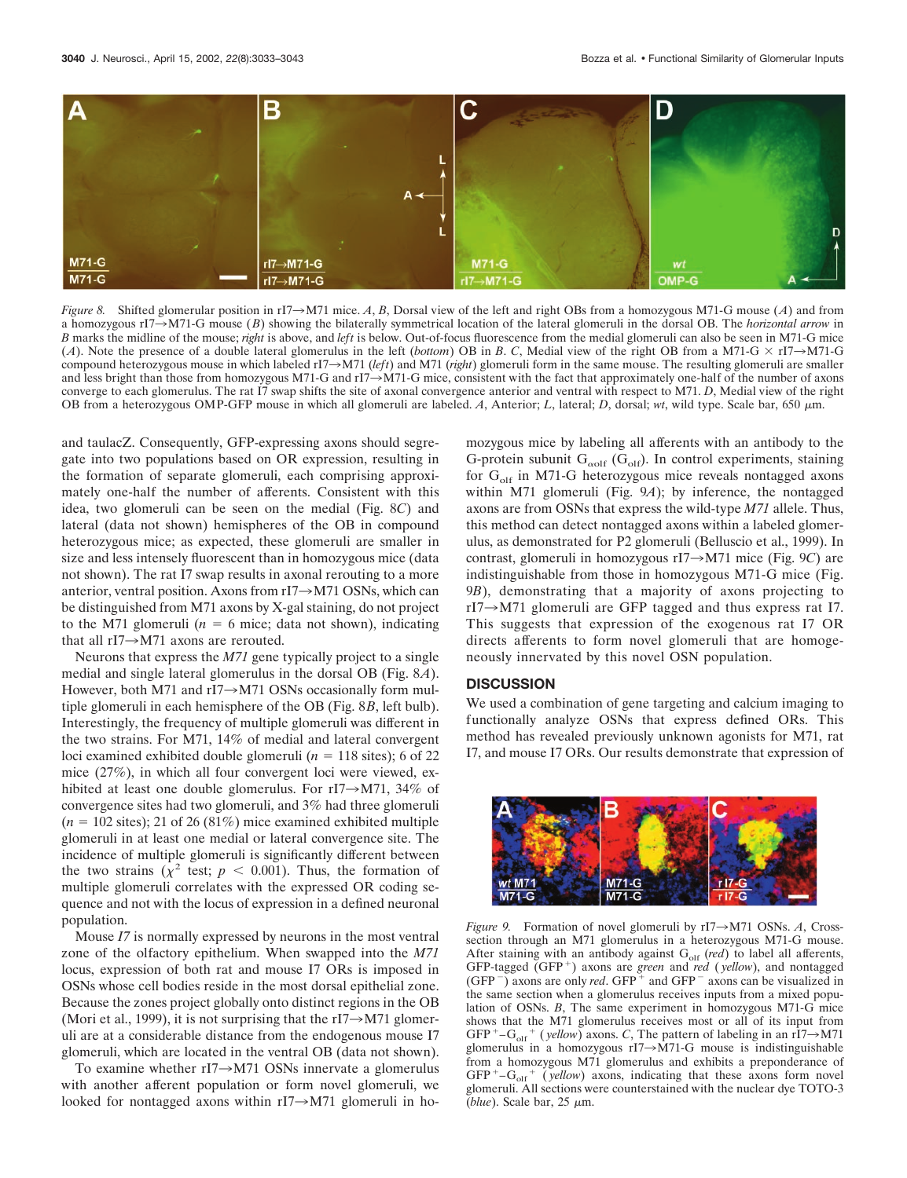

*Figure 8.* Shifted glomerular position in rI7 $\rightarrow$ M71 mice. *A*, *B*, Dorsal view of the left and right OBs from a homozygous M71-G mouse (*A*) and from a homozygous rI7→M71-G mouse (*B*) showing the bilaterally symmetrical location of the lateral glomeruli in the dorsal OB. The *horizontal arrow* in *B* marks the midline of the mouse; *right* is above, and *left* is below. Out-of-focus fluorescence from the medial glomeruli can also be seen in M71-G mice (*A*). Note the presence of a double lateral glomerulus in the left (*bottom*) OB in *B*. *C*, Medial view of the right OB from a M71-G  $\times$  rI7 $\rightarrow$ M71-G compound heterozygous mouse in which labeled rI7 $\rightarrow$ M71 (*left*) and M71 (*right*) glomeruli form in the same mouse. The resulting glomeruli are smaller and less bright than those from homozygous M71-G and  $rI7 \rightarrow M71-G$  mice, consistent with the fact that approximately one-half of the number of axons converge to each glomerulus. The rat I7 swap shifts the site of axonal convergence anterior and ventral with respect to M71. *D*, Medial view of the right OB from a heterozygous OMP-GFP mouse in which all glomeruli are labeled. A, Anterior; L, lateral; D, dorsal; wt, wild type. Scale bar, 650  $\mu$ m.

and taulacZ. Consequently, GFP-expressing axons should segregate into two populations based on OR expression, resulting in the formation of separate glomeruli, each comprising approximately one-half the number of afferents. Consistent with this idea, two glomeruli can be seen on the medial (Fig. 8*C*) and lateral (data not shown) hemispheres of the OB in compound heterozygous mice; as expected, these glomeruli are smaller in size and less intensely fluorescent than in homozygous mice (data not shown). The rat I7 swap results in axonal rerouting to a more anterior, ventral position. Axons from  $rI7 \rightarrow M71$  OSNs, which can be distinguished from M71 axons by X-gal staining, do not project to the M71 glomeruli  $(n = 6$  mice; data not shown), indicating that all  $rI7 \rightarrow M71$  axons are rerouted.

Neurons that express the *M71* gene typically project to a single medial and single lateral glomerulus in the dorsal OB (Fig. 8*A*). However, both M71 and  $rI7 \rightarrow M71$  OSNs occasionally form multiple glomeruli in each hemisphere of the OB (Fig. 8*B*, left bulb). Interestingly, the frequency of multiple glomeruli was different in the two strains. For M71, 14% of medial and lateral convergent loci examined exhibited double glomeruli  $(n = 118 \text{ sites})$ ; 6 of 22 mice (27%), in which all four convergent loci were viewed, exhibited at least one double glomerulus. For rI7 $\rightarrow$ M71, 34% of convergence sites had two glomeruli, and 3% had three glomeruli  $(n = 102 \text{ sites})$ ; 21 of 26 (81%) mice examined exhibited multiple glomeruli in at least one medial or lateral convergence site. The incidence of multiple glomeruli is significantly different between the two strains ( $\chi^2$  test;  $p < 0.001$ ). Thus, the formation of multiple glomeruli correlates with the expressed OR coding sequence and not with the locus of expression in a defined neuronal population.

Mouse *I7* is normally expressed by neurons in the most ventral zone of the olfactory epithelium. When swapped into the *M71* locus, expression of both rat and mouse I7 ORs is imposed in OSNs whose cell bodies reside in the most dorsal epithelial zone. Because the zones project globally onto distinct regions in the OB (Mori et al., 1999), it is not surprising that the  $rI7 \rightarrow M71$  glomeruli are at a considerable distance from the endogenous mouse I7 glomeruli, which are located in the ventral OB (data not shown).

To examine whether  $rI7 \rightarrow M71$  OSNs innervate a glomerulus with another afferent population or form novel glomeruli, we looked for nontagged axons within  $rI7 \rightarrow M71$  glomeruli in homozygous mice by labeling all afferents with an antibody to the G-protein subunit  $G_{\text{coll}}(G_{\text{olf}})$ . In control experiments, staining for  $G<sub>off</sub>$  in M71-G heterozygous mice reveals nontagged axons within M71 glomeruli (Fig. 9*A*); by inference, the nontagged axons are from OSNs that express the wild-type *M71* allele. Thus, this method can detect nontagged axons within a labeled glomerulus, as demonstrated for P2 glomeruli (Belluscio et al., 1999). In contrast, glomeruli in homozygous rI7→M71 mice (Fig. 9*C*) are indistinguishable from those in homozygous M71-G mice (Fig. 9*B*), demonstrating that a majority of axons projecting to  $rI7 \rightarrow M71$  glomeruli are GFP tagged and thus express rat I7. This suggests that expression of the exogenous rat I7 OR directs afferents to form novel glomeruli that are homogeneously innervated by this novel OSN population.

## **DISCUSSION**

We used a combination of gene targeting and calcium imaging to functionally analyze OSNs that express defined ORs. This method has revealed previously unknown agonists for M71, rat I7, and mouse I7 ORs. Our results demonstrate that expression of



*Figure 9.* Formation of novel glomeruli by  $rI7 \rightarrow M71$  OSNs. *A*, Crosssection through an M71 glomerulus in a heterozygous M71-G mouse. After staining with an antibody against G<sub>olf</sub> (*red*) to label all afferents, GFP-tagged (GFP ) axons are *green* and *red* ( *yellow*), and nontagged (GFP  $\bar{\phantom{a}}$ ) axons are only *red*. GFP<sup> $+$ </sup> and GFP  $\bar{\phantom{a}}$  axons can be visualized in the same section when a glomerulus receives inputs from a mixed population of OSNs. *B*, The same experiment in homozygous M71-G mice shows that the M71 glomerulus receives most or all of its input from GFP<sup>+</sup>-G<sub>olf</sub><sup>+</sup> (*yellow*) axons. *C*, The pattern of labeling in an rI7 $\rightarrow$ M71 glomerulus in a homozygous rI7 $\rightarrow$ M71-G mouse is indistinguishable from a homozygous M71 glomerulus and exhibits a preponderance of  $GFP<sup>+</sup>-G<sub>olf</sub>$ <sup>+</sup> (*yellow*) axons, indicating that these axons form novel glomeruli. All sections were counterstained with the nuclear dye TOTO-3  $(blue)$ . Scale bar, 25  $\mu$ m.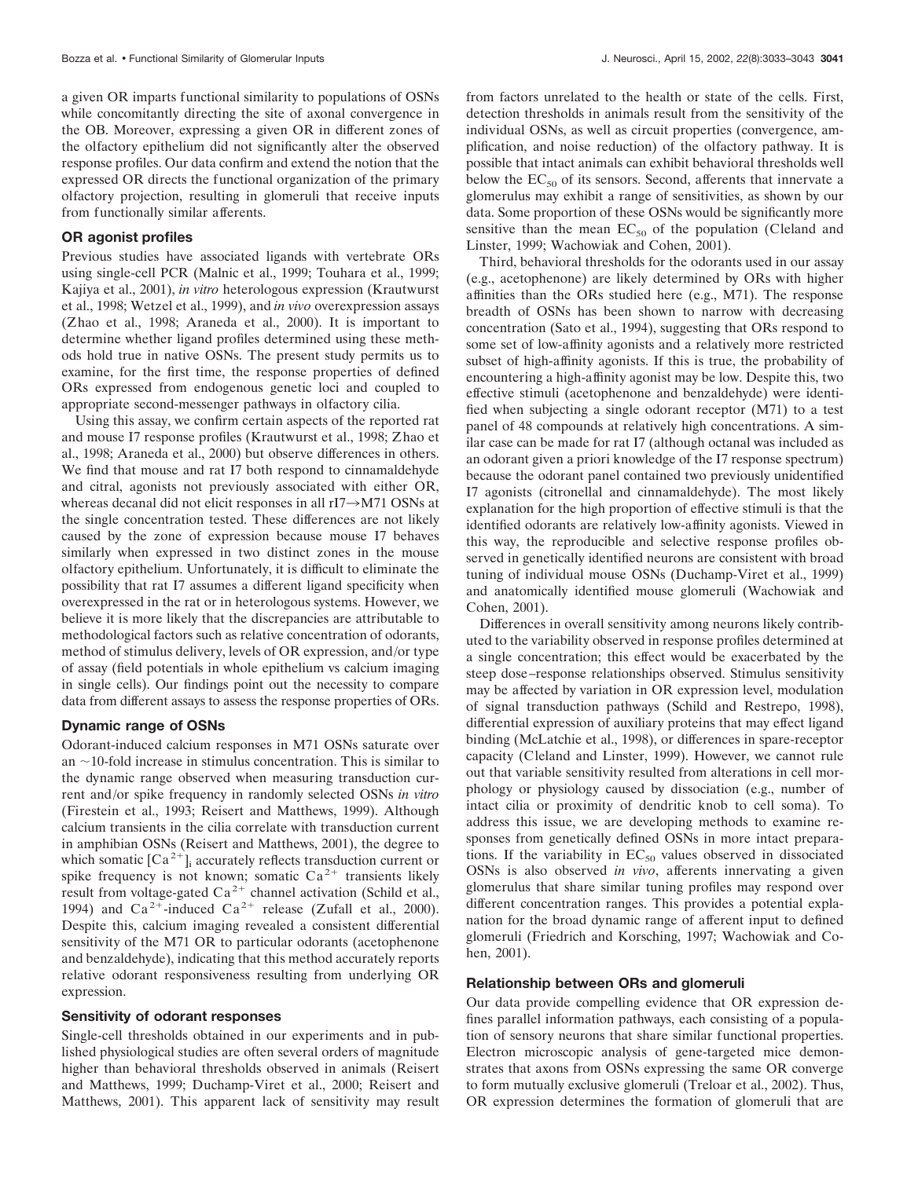a given OR imparts functional similarity to populations of OSNs while concomitantly directing the site of axonal convergence in the OB. Moreover, expressing a given OR in different zones of the olfactory epithelium did not significantly alter the observed response profiles. Our data confirm and extend the notion that the expressed OR directs the functional organization of the primary olfactory projection, resulting in glomeruli that receive inputs from functionally similar afferents.

## **OR agonist profiles**

Previous studies have associated ligands with vertebrate ORs using single-cell PCR (Malnic et al., 1999; Touhara et al., 1999; Kajiya et al., 2001), *in vitro* heterologous expression (Krautwurst et al., 1998; Wetzel et al., 1999), and *in vivo* overexpression assays (Zhao et al., 1998; Araneda et al., 2000). It is important to determine whether ligand profiles determined using these methods hold true in native OSNs. The present study permits us to examine, for the first time, the response properties of defined ORs expressed from endogenous genetic loci and coupled to appropriate second-messenger pathways in olfactory cilia.

Using this assay, we confirm certain aspects of the reported rat and mouse I7 response profiles (Krautwurst et al., 1998; Zhao et al., 1998; Araneda et al., 2000) but observe differences in others. We find that mouse and rat I7 both respond to cinnamaldehyde and citral, agonists not previously associated with either OR, whereas decanal did not elicit responses in all  $rI7 \rightarrow M71$  OSNs at the single concentration tested. These differences are not likely caused by the zone of expression because mouse I7 behaves similarly when expressed in two distinct zones in the mouse olfactory epithelium. Unfortunately, it is difficult to eliminate the possibility that rat I7 assumes a different ligand specificity when overexpressed in the rat or in heterologous systems. However, we believe it is more likely that the discrepancies are attributable to methodological factors such as relative concentration of odorants, method of stimulus delivery, levels of OR expression, and/or type of assay (field potentials in whole epithelium vs calcium imaging in single cells). Our findings point out the necessity to compare data from different assays to assess the response properties of ORs.

## **Dynamic range of OSNs**

Odorant-induced calcium responses in M71 OSNs saturate over an  $\sim$ 10-fold increase in stimulus concentration. This is similar to the dynamic range observed when measuring transduction current and/or spike frequency in randomly selected OSNs *in vitro* (Firestein et al., 1993; Reisert and Matthews, 1999). Although calcium transients in the cilia correlate with transduction current in amphibian OSNs (Reisert and Matthews, 2001), the degree to which somatic  $[Ca^{2+}]$ <sub>i</sub> accurately reflects transduction current or spike frequency is not known; somatic  $Ca^{2+}$  transients likely result from voltage-gated  $Ca^{2+}$  channel activation (Schild et al., 1994) and  $Ca^{2+}$ -induced  $Ca^{2+}$  release (Zufall et al., 2000). Despite this, calcium imaging revealed a consistent differential sensitivity of the M71 OR to particular odorants (acetophenone and benzaldehyde), indicating that this method accurately reports relative odorant responsiveness resulting from underlying OR expression.

#### **Sensitivity of odorant responses**

Single-cell thresholds obtained in our experiments and in published physiological studies are often several orders of magnitude higher than behavioral thresholds observed in animals (Reisert and Matthews, 1999; Duchamp-Viret et al., 2000; Reisert and Matthews, 2001). This apparent lack of sensitivity may result

from factors unrelated to the health or state of the cells. First, detection thresholds in animals result from the sensitivity of the individual OSNs, as well as circuit properties (convergence, amplification, and noise reduction) of the olfactory pathway. It is possible that intact animals can exhibit behavioral thresholds well below the  $EC_{50}$  of its sensors. Second, afferents that innervate a glomerulus may exhibit a range of sensitivities, as shown by our data. Some proportion of these OSNs would be significantly more sensitive than the mean  $EC_{50}$  of the population (Cleland and Linster, 1999; Wachowiak and Cohen, 2001).

Third, behavioral thresholds for the odorants used in our assay (e.g., acetophenone) are likely determined by ORs with higher affinities than the ORs studied here (e.g., M71). The response breadth of OSNs has been shown to narrow with decreasing concentration (Sato et al., 1994), suggesting that ORs respond to some set of low-affinity agonists and a relatively more restricted subset of high-affinity agonists. If this is true, the probability of encountering a high-affinity agonist may be low. Despite this, two effective stimuli (acetophenone and benzaldehyde) were identified when subjecting a single odorant receptor (M71) to a test panel of 48 compounds at relatively high concentrations. A similar case can be made for rat I7 (although octanal was included as an odorant given a priori knowledge of the I7 response spectrum) because the odorant panel contained two previously unidentified I7 agonists (citronellal and cinnamaldehyde). The most likely explanation for the high proportion of effective stimuli is that the identified odorants are relatively low-affinity agonists. Viewed in this way, the reproducible and selective response profiles observed in genetically identified neurons are consistent with broad tuning of individual mouse OSNs (Duchamp-Viret et al., 1999) and anatomically identified mouse glomeruli (Wachowiak and Cohen, 2001).

Differences in overall sensitivity among neurons likely contributed to the variability observed in response profiles determined at a single concentration; this effect would be exacerbated by the steep dose–response relationships observed. Stimulus sensitivity may be affected by variation in OR expression level, modulation of signal transduction pathways (Schild and Restrepo, 1998), differential expression of auxiliary proteins that may effect ligand binding (McLatchie et al., 1998), or differences in spare-receptor capacity (Cleland and Linster, 1999). However, we cannot rule out that variable sensitivity resulted from alterations in cell morphology or physiology caused by dissociation (e.g., number of intact cilia or proximity of dendritic knob to cell soma). To address this issue, we are developing methods to examine responses from genetically defined OSNs in more intact preparations. If the variability in  $EC_{50}$  values observed in dissociated OSNs is also observed *in vivo*, afferents innervating a given glomerulus that share similar tuning profiles may respond over different concentration ranges. This provides a potential explanation for the broad dynamic range of afferent input to defined glomeruli (Friedrich and Korsching, 1997; Wachowiak and Cohen, 2001).

#### **Relationship between ORs and glomeruli**

Our data provide compelling evidence that OR expression defines parallel information pathways, each consisting of a population of sensory neurons that share similar functional properties. Electron microscopic analysis of gene-targeted mice demonstrates that axons from OSNs expressing the same OR converge to form mutually exclusive glomeruli (Treloar et al., 2002). Thus, OR expression determines the formation of glomeruli that are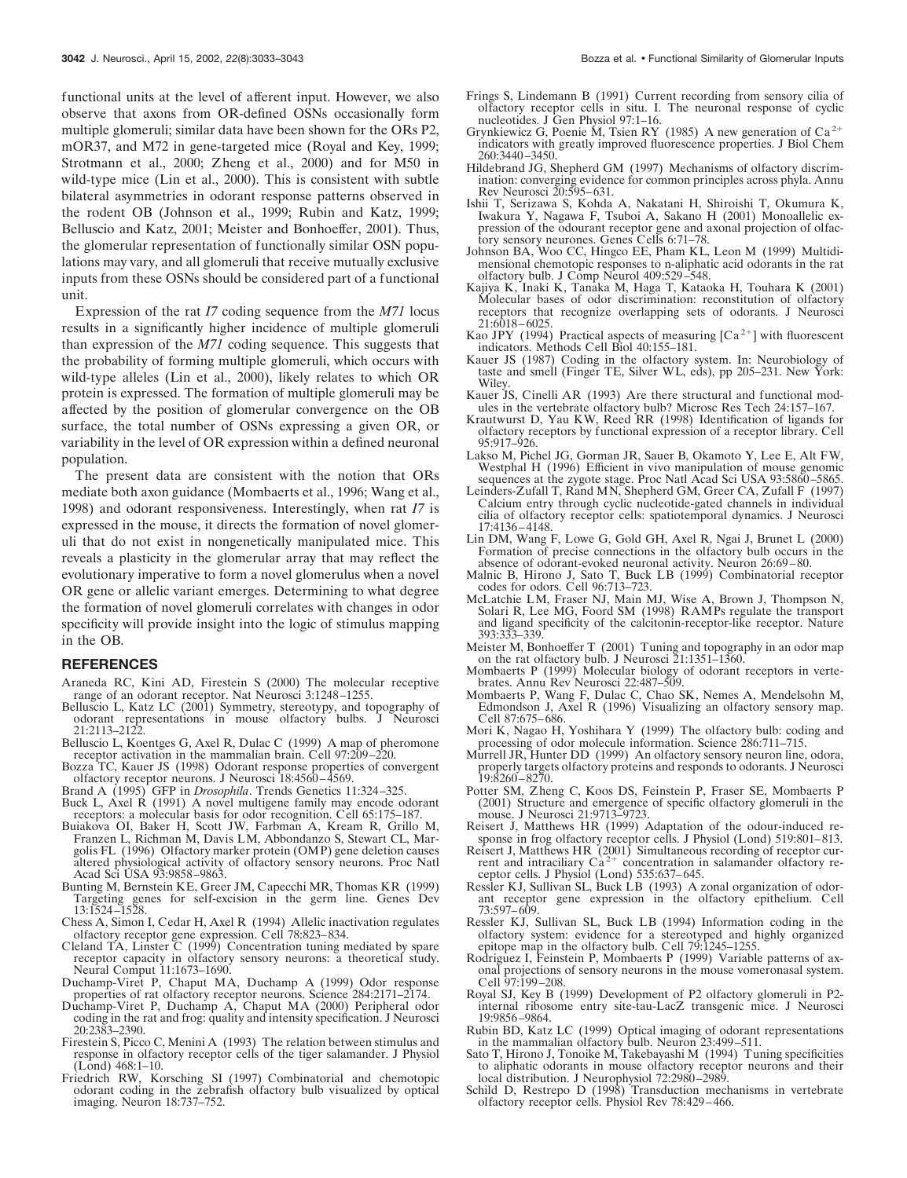functional units at the level of afferent input. However, we also observe that axons from OR-defined OSNs occasionally form multiple glomeruli; similar data have been shown for the ORs P2, mOR37, and M72 in gene-targeted mice (Royal and Key, 1999; Strotmann et al., 2000; Zheng et al., 2000) and for M50 in wild-type mice (Lin et al., 2000). This is consistent with subtle bilateral asymmetries in odorant response patterns observed in the rodent OB (Johnson et al., 1999; Rubin and Katz, 1999; Belluscio and Katz, 2001; Meister and Bonhoeffer, 2001). Thus, the glomerular representation of functionally similar OSN populations may vary, and all glomeruli that receive mutually exclusive inputs from these OSNs should be considered part of a functional unit.

Expression of the rat *I7* coding sequence from the *M71* locus results in a significantly higher incidence of multiple glomeruli than expression of the *M71* coding sequence. This suggests that the probability of forming multiple glomeruli, which occurs with wild-type alleles (Lin et al., 2000), likely relates to which OR protein is expressed. The formation of multiple glomeruli may be affected by the position of glomerular convergence on the OB surface, the total number of OSNs expressing a given OR, or variability in the level of OR expression within a defined neuronal population.

The present data are consistent with the notion that ORs mediate both axon guidance (Mombaerts et al., 1996; Wang et al., 1998) and odorant responsiveness. Interestingly, when rat *I7* is expressed in the mouse, it directs the formation of novel glomeruli that do not exist in nongenetically manipulated mice. This reveals a plasticity in the glomerular array that may reflect the evolutionary imperative to form a novel glomerulus when a novel OR gene or allelic variant emerges. Determining to what degree the formation of novel glomeruli correlates with changes in odor specificity will provide insight into the logic of stimulus mapping in the OB.

#### **REFERENCES**

- Araneda RC, Kini AD, Firestein S (2000) The molecular receptive range of an odorant receptor. Nat Neurosci 3:1248–1255.
- Belluscio L, Katz LC (2001) Symmetry, stereotypy, and topography of odorant representations in mouse olfactory bulbs. J Neurosci 21:2113–2122.
- Belluscio L, Koentges G, Axel R, Dulac C (1999) A map of pheromone receptor activation in the mammalian brain. Cell 97:209–220.
- Bozza TC, Kauer JS (1998) Odorant response properties of convergent olfactory receptor neurons. J Neurosci 18:4560–4569. Brand A (1995) GFP in *Drosophila*. Trends Genetics 11:324–325.
- 
- Buck L, Axel R (1991) A novel multigene family may encode odorant receptors: a molecular basis for odor recognition. Cell 65:175–187.
- Buiakova OI, Baker H, Scott JW, Farbman A, Kream R, Grillo M, Franzen L, Richman M, Davis LM, Abbondanzo S, Stewart CL, Margolis FL (1996) Olfactory marker protein (OMP) gene deletion causes altered physiological activity of olfactory sensory neurons. Proc Natl Acad Sci USA 93:9858–9863.
- Bunting M, Bernstein KE, Greer JM, Capecchi MR, Thomas KR (1999) Targeting genes for self-excision in the germ line. Genes Dev 13:1524–1528.
- Chess A, Simon I, Cedar H, Axel R (1994) Allelic inactivation regulates olfactory receptor gene expression. Cell 78:823–834.
- Cleland TA, Linster C (1999) Concentration tuning mediated by spare receptor capacity in olfactory sensory neurons: a theoretical study. Neural Comput 11:1673–1690.
- Duchamp-Viret P, Chaput MA, Duchamp A (1999) Odor response properties of rat olfactory receptor neurons. Science 284:2171–2174.
- Duchamp-Viret P, Duchamp A, Chaput MA (2000) Peripheral odor coding in the rat and frog: quality and intensity specification. J Neurosci 20:2383–2390.
- Firestein S, Picco C, Menini A (1993) The relation between stimulus and response in olfactory receptor cells of the tiger salamander. J Physiol (Lond) 468:1–10.
- Friedrich RW, Korsching SI (1997) Combinatorial and chemotopic odorant coding in the zebrafish olfactory bulb visualized by optical imaging. Neuron 18:737–752.
- Frings S, Lindemann B (1991) Current recording from sensory cilia of olfactory receptor cells in situ. I. The neuronal response of cyclic nucleotides. J Gen Physiol 97:1–16.<br>Grynkiewicz G, Poenie M, Tsien RY (1985) A new generation of Ca<sup>2+</sup>
- indicators with greatly improved fluorescence properties. J Biol Chem 260:3440–3450.
- Hildebrand JG, Shepherd GM (1997) Mechanisms of olfactory discrimination: converging evidence for common principles across phyla. Annu Rev Neurosci 20:595–631.
- Ishii T, Serizawa S, Kohda A, Nakatani H, Shiroishi T, Okumura K, Iwakura Y, Nagawa F, Tsuboi A, Sakano H (2001) Monoallelic expression of the odourant receptor gene and axonal projection of olfactory sensory neurones. Genes Cells 6:71–78.
- Johnson BA, Woo CC, Hingco EE, Pham KL, Leon M (1999) Multidimensional chemotopic responses to n-aliphatic acid odorants in the rat olfactory bulb. J Comp Neurol 409:529–548.
- Kajiya K, Inaki K, Tanaka M, Haga T, Kataoka H, Touhara K (2001) Molecular bases of odor discrimination: reconstitution of olfactory receptors that recognize overlapping sets of odorants. J Neurosci 21:6018–6025.
- Kao JPY (1994) Practical aspects of measuring  $[Ca^{2+}]$  with fluorescent indicators. Methods Cell Biol 40:155–181.
- Kauer JS (1987) Coding in the olfactory system. In: Neurobiology of taste and smell (Finger TE, Silver WL, eds), pp 205–231. New York: **Wiley**
- Kauer JS, Cinelli AR (1993) Are there structural and functional modules in the vertebrate olfactory bulb? Microsc Res Tech 24:157–167.
- Krautwurst D, Yau KW, Reed RR (1998) Identification of ligands for olfactory receptors by functional expression of a receptor library. Cell 95:917–926.
- Lakso M, Pichel JG, Gorman JR, Sauer B, Okamoto Y, Lee E, Alt FW, Westphal H (1996) Efficient in vivo manipulation of mouse genomic sequences at the zygote stage. Proc Natl Acad Sci USA 93:5860-5865.
- Leinders-Zufall T, Rand MN, Shepherd GM, Greer CA, Zufall F (1997) Calcium entry through cyclic nucleotide-gated channels in individual cilia of olfactory receptor cells: spatiotemporal dynamics. J Neurosci 17:4136–4148.
- Lin DM, Wang F, Lowe G, Gold GH, Axel R, Ngai J, Brunet L (2000) Formation of precise connections in the olfactory bulb occurs in the absence of odorant-evoked neuronal activity. Neuron 26:69–80.
- Malnic B, Hirono J, Sato T, Buck LB (1999) Combinatorial receptor codes for odors. Cell 96:713–723.
- McLatchie LM, Fraser NJ, Main MJ, Wise A, Brown J, Thompson N, Solari R, Lee MG, Foord SM (1998) RAMPs regulate the transport and ligand specificity of the calcitonin-receptor-like receptor. Nature 393:333–339.
- Meister M, Bonhoeffer T (2001) Tuning and topography in an odor map on the rat olfactory bulb. J Neurosci 21:1351–1360.
- Mombaerts P (1999) Molecular biology of odorant receptors in vertebrates. Annu Rev Neurosci 22:487–509.
- Mombaerts P, Wang F, Dulac C, Chao SK, Nemes A, Mendelsohn M, Edmondson J, Axel R (1996) Visualizing an olfactory sensory map. Cell 87:675–686.
- Mori K, Nagao H, Yoshihara Y (1999) The olfactory bulb: coding and processing of odor molecule information. Science 286:711–715.
- Murrell JR, Hunter DD (1999) An olfactory sensory neuron line, odora, properly targets olfactory proteins and responds to odorants. J Neurosci 19:8260–8270.
- Potter SM, Zheng C, Koos DS, Feinstein P, Fraser SE, Mombaerts P (2001) Structure and emergence of specific olfactory glomeruli in the mouse. J Neurosci 21:9713–9723.
- Reisert J, Matthews HR (1999) Adaptation of the odour-induced response in frog olfactory receptor cells. J Physiol (Lond) 519:801–813.
- Reisert J, Matthews HR (2001) Simultaneous recording of receptor cur-<br>rent and intraciliary  $Ca^{2+}$  concentration in salamander olfactory receptor cells. J Physiol (Lond) 535:637–645.
- Ressler KJ, Sullivan SL, Buck LB (1993) A zonal organization of odorant receptor gene expression in the olfactory epithelium. Cell 73:597–609.
- Ressler KJ, Sullivan SL, Buck LB (1994) Information coding in the olfactory system: evidence for a stereotyped and highly organized epitope map in the olfactory bulb. Cell 79:1245–1255.
- Rodriguez I, Feinstein P, Mombaerts P (1999) Variable patterns of axonal projections of sensory neurons in the mouse vomeronasal system. Cell 97:199–208.
- Royal SJ, Key B (1999) Development of P2 olfactory glomeruli in P2 internal ribosome entry site-tau-LacZ transgenic mice. J Neurosci 19:9856–9864.
- Rubin BD, Katz LC (1999) Optical imaging of odorant representations in the mammalian olfactory bulb. Neuron 23:499–511.
- Sato T, Hirono J, Tonoike M, Takebayashi M (1994) Tuning specificities to aliphatic odorants in mouse olfactory receptor neurons and their local distribution. J Neurophysiol 72:2980–2989.
- Schild D, Restrepo D (1998) Transduction mechanisms in vertebrate olfactory receptor cells. Physiol Rev 78:429–466.